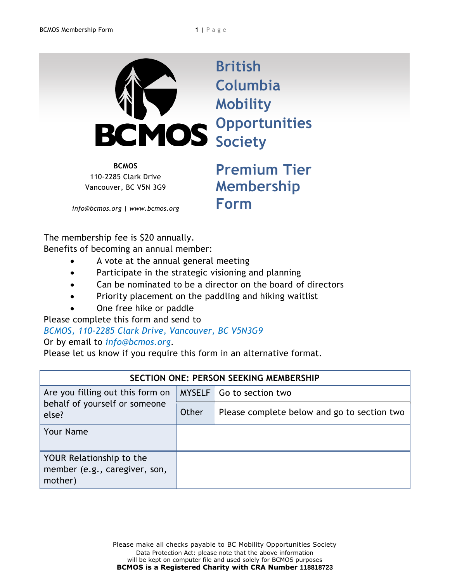

**British Columbia Mobility Opportunities Society**

**BCMOS** 110-2285 Clark Drive Vancouver, BC V5N 3G9

**Premium Tier Membership Form**

*info@bcmos.org | www.bcmos.org*

The membership fee is \$20 annually. Benefits of becoming an annual member:

- A vote at the annual general meeting
- Participate in the strategic visioning and planning
- Can be nominated to be a director on the board of directors
- Priority placement on the paddling and hiking waitlist
- One free hike or paddle

Please complete this form and send to

## *BCMOS, 110-2285 Clark Drive, Vancouver, BC V5N3G9*  Or by email to *info@bcmos.org*.

Please let us know if you require this form in an alternative format.

| SECTION ONE: PERSON SEEKING MEMBERSHIP                                     |       |                                             |  |  |
|----------------------------------------------------------------------------|-------|---------------------------------------------|--|--|
| Are you filling out this form on<br>behalf of yourself or someone<br>else? |       | MYSELF   Go to section two                  |  |  |
|                                                                            | Other | Please complete below and go to section two |  |  |
| <b>Your Name</b>                                                           |       |                                             |  |  |
| YOUR Relationship to the<br>member (e.g., caregiver, son,<br>mother)       |       |                                             |  |  |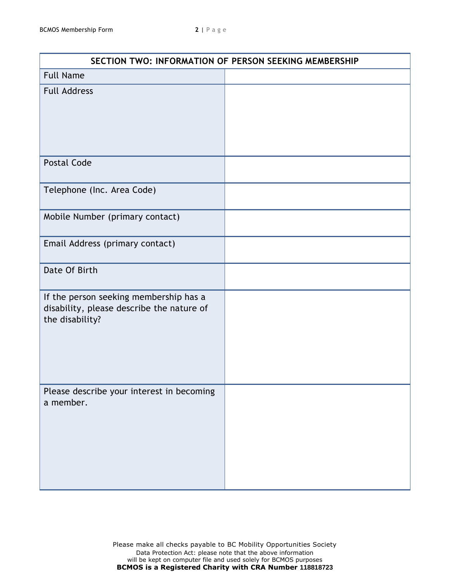| SECTION TWO: INFORMATION OF PERSON SEEKING MEMBERSHIP                                                  |  |  |
|--------------------------------------------------------------------------------------------------------|--|--|
| <b>Full Name</b>                                                                                       |  |  |
| <b>Full Address</b>                                                                                    |  |  |
| <b>Postal Code</b>                                                                                     |  |  |
| Telephone (Inc. Area Code)                                                                             |  |  |
| Mobile Number (primary contact)                                                                        |  |  |
| Email Address (primary contact)                                                                        |  |  |
| Date Of Birth                                                                                          |  |  |
| If the person seeking membership has a<br>disability, please describe the nature of<br>the disability? |  |  |
| Please describe your interest in becoming<br>a member.                                                 |  |  |